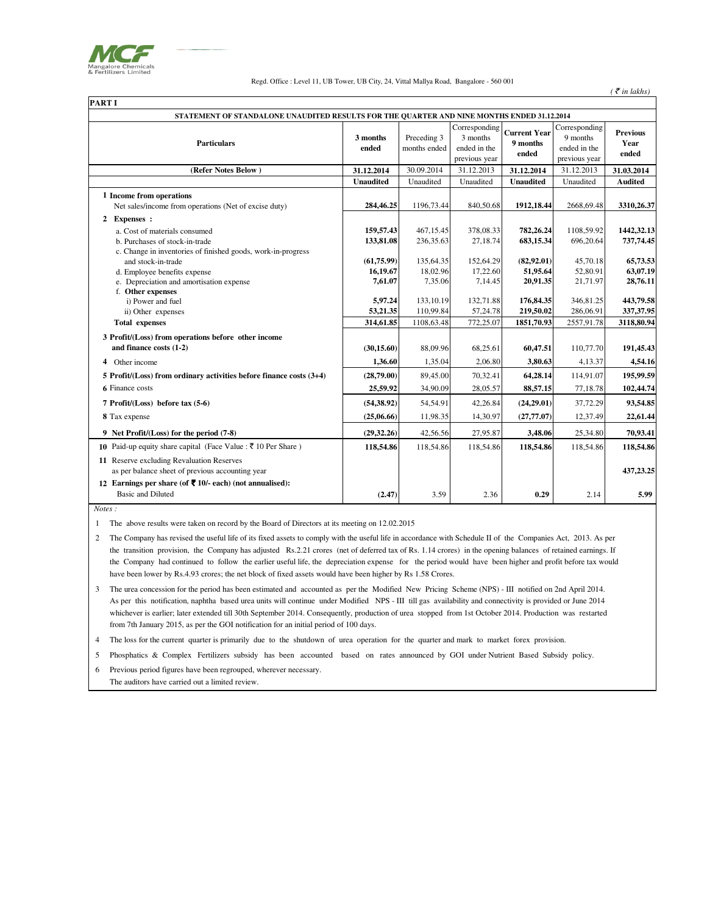

Regd. Office : Level 11, UB Tower, UB City, 24, Vittal Mallya Road, Bangalore - 560 001

| <b>PART I</b> |                                                                                            |                   |                             |                                                            |                                          |                                      |
|---------------|--------------------------------------------------------------------------------------------|-------------------|-----------------------------|------------------------------------------------------------|------------------------------------------|--------------------------------------|
|               | STATEMENT OF STANDALONE UNAUDITED RESULTS FOR THE OUARTER AND NINE MONTHS ENDED 31.12.2014 |                   |                             |                                                            |                                          |                                      |
|               | <b>Particulars</b>                                                                         | 3 months<br>ended | Preceding 3<br>months ended | Corresponding<br>3 months<br>ended in the<br>previous year | <b>Current Year</b><br>9 months<br>ended | Corre<br>$\mathbf{Q}$<br>end<br>prev |
|               | (Refer Notes Below)                                                                        | 31.12.2014        | 30.09.2014                  | 31.12.2013                                                 | 31.12.2014                               | 31.                                  |

| <b>Particulars</b>                                                                            | 3 months<br>ended | Preceding 3<br>months ended | Corresponding<br>3 months<br>ended in the<br>previous year | <b>Current Year</b><br>9 months<br>ended | Corresponding<br>9 months<br>ended in the<br>previous year | <b>Previous</b><br>Year<br>ended |
|-----------------------------------------------------------------------------------------------|-------------------|-----------------------------|------------------------------------------------------------|------------------------------------------|------------------------------------------------------------|----------------------------------|
| (Refer Notes Below)                                                                           | 31.12.2014        | 30.09.2014                  | 31.12.2013                                                 | 31.12.2014                               | 31.12.2013                                                 | 31.03.2014                       |
|                                                                                               | <b>Unaudited</b>  | Unaudited                   | Unaudited                                                  | <b>Unaudited</b>                         | Unaudited                                                  | <b>Audited</b>                   |
| 1 Income from operations<br>Net sales/income from operations (Net of excise duty)             | 284,46.25         | 1196,73.44                  | 840,50.68                                                  | 1912, 18.44                              | 2668,69.48                                                 | 3310,26.37                       |
| 2 Expenses :                                                                                  |                   |                             |                                                            |                                          |                                                            |                                  |
| a. Cost of materials consumed                                                                 | 159,57.43         | 467,15.45                   | 378,08.33                                                  | 782,26.24                                | 1108,59.92                                                 | 1442,32.13                       |
| b. Purchases of stock-in-trade                                                                | 133,81.08         | 236,35.63                   | 27,18.74                                                   | 683,15.34                                | 696,20.64                                                  | 737,74.45                        |
| c. Change in inventories of finished goods, work-in-progress<br>and stock-in-trade            | (61, 75.99)       | 135,64.35                   | 152,64.29                                                  | (82,92.01)                               | 45,70.18                                                   | 65,73.53                         |
| d. Employee benefits expense                                                                  | 16,19.67          | 18,02.96                    | 17,22.60                                                   | 51,95.64                                 | 52,80.91                                                   | 63,07.19                         |
| e. Depreciation and amortisation expense                                                      | 7,61.07           | 7,35.06                     | 7,14.45                                                    | 20,91.35                                 | 21,71.97                                                   | 28,76.11                         |
| f. Other expenses                                                                             |                   |                             |                                                            |                                          |                                                            |                                  |
| i) Power and fuel                                                                             | 5,97.24           | 133.10.19                   | 132,71.88                                                  | 176,84.35                                | 346,81.25                                                  | 443,79.58                        |
| ii) Other expenses                                                                            | 53,21.35          | 110,99.84                   | 57,24.78                                                   | 219,50.02                                | 286,06.91                                                  | 337, 37.95                       |
| <b>Total expenses</b>                                                                         | 314,61.85         | 1108,63.48                  | 772,25.07                                                  | 1851,70.93                               | 2557,91.78                                                 | 3118,80.94                       |
| 3 Profit/(Loss) from operations before other income                                           |                   |                             |                                                            |                                          |                                                            |                                  |
| and finance costs (1-2)                                                                       | (30, 15.60)       | 88,09.96                    | 68,25.61                                                   | 60,47.51                                 | 110,77.70                                                  | 191,45.43                        |
| 4<br>Other income                                                                             | 1,36.60           | 1,35.04                     | 2,06.80                                                    | 3,80.63                                  | 4,13.37                                                    | 4,54.16                          |
| 5 Profit/(Loss) from ordinary activities before finance costs (3+4)                           | (28,79.00)        | 89,45.00                    | 70,32.41                                                   | 64,28.14                                 | 114,91.07                                                  | 195,99.59                        |
| 6 Finance costs                                                                               | 25,59.92          | 34,90.09                    | 28,05.57                                                   | 88,57.15                                 | 77,18.78                                                   | 102,44.74                        |
| 7 Profit/(Loss) before tax (5-6)                                                              | (54, 38.92)       | 54,54.91                    | 42,26.84                                                   | (24,29.01)                               | 37,72.29                                                   | 93,54.85                         |
| 8 Tax expense                                                                                 | (25,06.66)        | 11,98.35                    | 14,30.97                                                   | (27, 77.07)                              | 12,37.49                                                   | 22,61.44                         |
| 9 Net Profit/(Loss) for the period (7-8)                                                      | (29, 32, 26)      | 42,56.56                    | 27,95.87                                                   | 3,48.06                                  | 25,34.80                                                   | 70,93.41                         |
| <b>10</b> Paid-up equity share capital (Face Value : ₹ 10 Per Share)                          | 118,54.86         | 118,54.86                   | 118,54.86                                                  | 118,54.86                                | 118,54.86                                                  | 118,54.86                        |
| 11 Reserve excluding Revaluation Reserves<br>as per balance sheet of previous accounting year |                   |                             |                                                            |                                          |                                                            | 437, 23. 25                      |
| 12 Earnings per share (of ₹ 10/- each) (not annualised):<br><b>Basic and Diluted</b>          | (2.47)            | 3.59                        | 2.36                                                       | 0.29                                     | 2.14                                                       | 5.99                             |

 *Notes :*

1 The above results were taken on record by the Board of Directors at its meeting on 12.02.2015

2 The Company has revised the useful life of its fixed assets to comply with the useful life in accordance with Schedule II of the Companies Act, 2013. As per the transition provision, the Company has adjusted Rs.2.21 crores (net of deferred tax of Rs. 1.14 crores) in the opening balances of retained earnings. If the Company had continued to follow the earlier useful life, the depreciation expense for the period would have been higher and profit before tax would have been lower by Rs.4.93 crores; the net block of fixed assets would have been higher by Rs 1.58 Crores.

3 The urea concession for the period has been estimated and accounted as per the Modified New Pricing Scheme (NPS) - III notified on 2nd April 2014. As per this notification, naphtha based urea units will continue under Modified NPS - III till gas availability and connectivity is provided or June 2014 whichever is earlier; later extended till 30th September 2014. Consequently, production of urea stopped from 1st October 2014. Production was restarted from 7th January 2015, as per the GOI notification for an initial period of 100 days.

4 The loss for the current quarter is primarily due to the shutdown of urea operation for the quarter and mark to market forex provision.

5 Phosphatics & Complex Fertilizers subsidy has been accounted based on rates announced by GOI under Nutrient Based Subsidy policy.

6 Previous period figures have been regrouped, wherever necessary. The auditors have carried out a limited review.